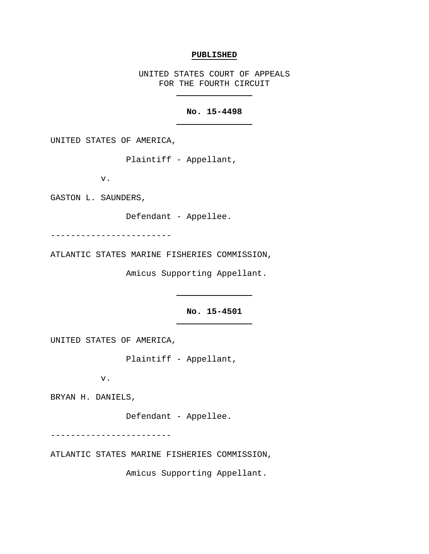# **PUBLISHED**

UNITED STATES COURT OF APPEALS FOR THE FOURTH CIRCUIT

# **No. 15-4498**

UNITED STATES OF AMERICA,

Plaintiff - Appellant,

v.

GASTON L. SAUNDERS,

Defendant - Appellee.

------------------------

ATLANTIC STATES MARINE FISHERIES COMMISSION,

Amicus Supporting Appellant.

**No. 15-4501**

UNITED STATES OF AMERICA,

Plaintiff - Appellant,

v.

BRYAN H. DANIELS,

Defendant - Appellee.

------------------------

ATLANTIC STATES MARINE FISHERIES COMMISSION,

Amicus Supporting Appellant.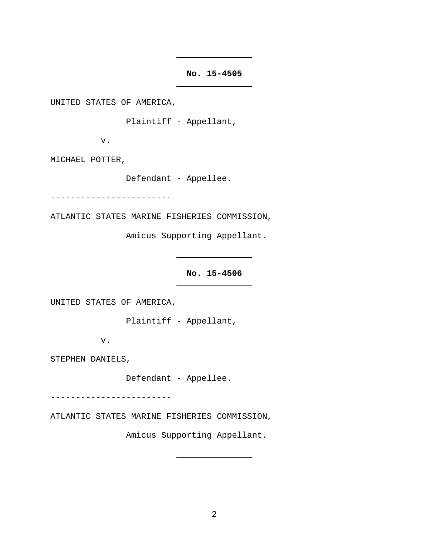**No. 15-4505**

UNITED STATES OF AMERICA,

Plaintiff - Appellant,

v.

MICHAEL POTTER,

Defendant - Appellee.

------------------------

ATLANTIC STATES MARINE FISHERIES COMMISSION,

Amicus Supporting Appellant.

**No. 15-4506**

UNITED STATES OF AMERICA,

Plaintiff - Appellant,

v.

STEPHEN DANIELS,

Defendant - Appellee.

------------------------

ATLANTIC STATES MARINE FISHERIES COMMISSION,

Amicus Supporting Appellant.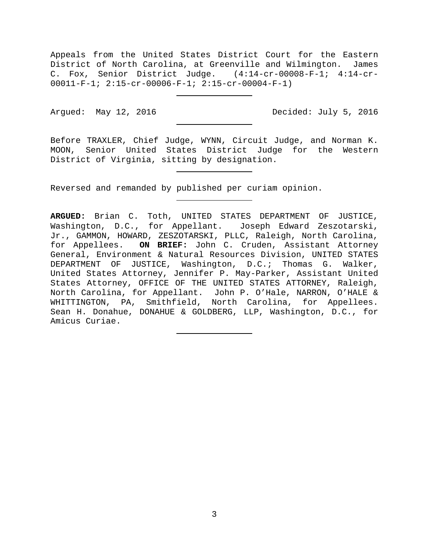Appeals from the United States District Court for the Eastern District of North Carolina, at Greenville and Wilmington. James C. Fox, Senior District Judge. (4:14-cr-00008-F-1; 4:14-cr-00011-F-1; 2:15-cr-00006-F-1; 2:15-cr-00004-F-1)

Argued: May 12, 2016 Decided: July 5, 2016

Before TRAXLER, Chief Judge, WYNN, Circuit Judge, and Norman K. MOON, Senior United States District Judge for the Western District of Virginia, sitting by designation.

Reversed and remanded by published per curiam opinion.

**ARGUED:** Brian C. Toth, UNITED STATES DEPARTMENT OF JUSTICE, Washington, D.C., for Appellant. Joseph Edward Zeszotarski, Jr., GAMMON, HOWARD, ZESZOTARSKI, PLLC, Raleigh, North Carolina, for Appellees. **ON BRIEF:** John C. Cruden, Assistant Attorney General, Environment & Natural Resources Division, UNITED STATES DEPARTMENT OF JUSTICE, Washington, D.C.; Thomas G. Walker, United States Attorney, Jennifer P. May-Parker, Assistant United States Attorney, OFFICE OF THE UNITED STATES ATTORNEY, Raleigh, North Carolina, for Appellant. John P. O'Hale, NARRON, O'HALE & WHITTINGTON, PA, Smithfield, North Carolina, for Appellees. Sean H. Donahue, DONAHUE & GOLDBERG, LLP, Washington, D.C., for Amicus Curiae.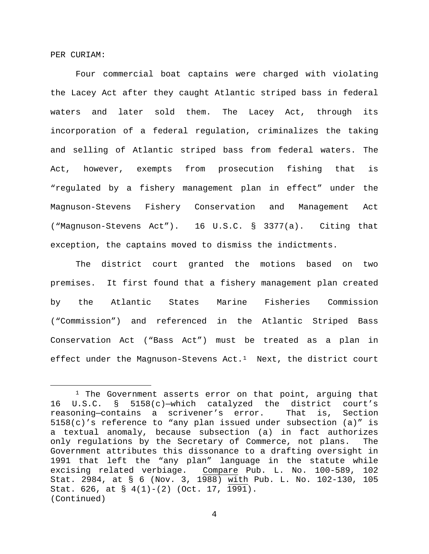PER CURIAM:

Four commercial boat captains were charged with violating the Lacey Act after they caught Atlantic striped bass in federal waters and later sold them. The Lacey Act, through its incorporation of a federal regulation, criminalizes the taking and selling of Atlantic striped bass from federal waters. The Act, however, exempts from prosecution fishing that is "regulated by a fishery management plan in effect" under the Magnuson-Stevens Fishery Conservation and Management Act ("Magnuson-Stevens Act"). 16 U.S.C. § 3377(a). Citing that exception, the captains moved to dismiss the indictments.

The district court granted the motions based on two premises. It first found that a fishery management plan created by the Atlantic States Marine Fisheries Commission ("Commission") and referenced in the Atlantic Striped Bass Conservation Act ("Bass Act") must be treated as a plan in effect under the Magnuson-Stevens  $Act.^1$  Next, the district court

<span id="page-3-0"></span><sup>&</sup>lt;sup>1</sup> The Government asserts error on that point, arguing that 16 U.S.C. § 5158(c)—which catalyzed the district court's reasoning—contains a scrivener's error. That is, Section 5158(c)'s reference to "any plan issued under subsection (a)" is a textual anomaly, because subsection (a) in fact authorizes only regulations by the Secretary of Commerce, not plans. The Government attributes this dissonance to a drafting oversight in 1991 that left the "any plan" language in the statute while excising related verbiage. Compare Pub. L. No. 100-589, 102 Stat. 2984, at § 6 (Nov. 3, 1988) with Pub. L. No. 102-130, 105 Stat. 626, at § 4(1)-(2) (Oct. 17, 1991). (Continued)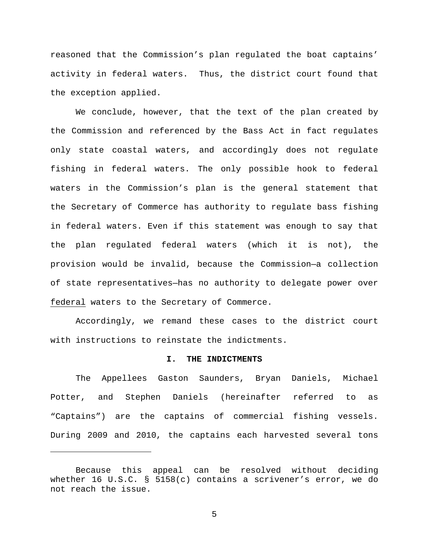reasoned that the Commission's plan regulated the boat captains' activity in federal waters. Thus, the district court found that the exception applied.

We conclude, however, that the text of the plan created by the Commission and referenced by the Bass Act in fact regulates only state coastal waters, and accordingly does not regulate fishing in federal waters. The only possible hook to federal waters in the Commission's plan is the general statement that the Secretary of Commerce has authority to regulate bass fishing in federal waters. Even if this statement was enough to say that the plan regulated federal waters (which it is not), the provision would be invalid, because the Commission—a collection of state representatives—has no authority to delegate power over federal waters to the Secretary of Commerce.

Accordingly, we remand these cases to the district court with instructions to reinstate the indictments.

# **I. THE INDICTMENTS**

The Appellees Gaston Saunders, Bryan Daniels, Michael Potter, and Stephen Daniels (hereinafter referred to as "Captains") are the captains of commercial fishing vessels. During 2009 and 2010, the captains each harvested several tons

Ĩ.

Because this appeal can be resolved without deciding whether 16 U.S.C. § 5158(c) contains a scrivener's error, we do not reach the issue.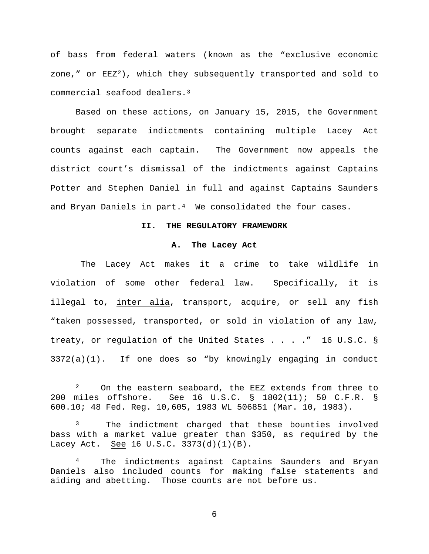of bass from federal waters (known as the "exclusive economic zone," or  $EEZ^2$ ), which they subsequently transported and sold to commercial seafood dealers.[3](#page-5-1) 

Based on these actions, on January 15, 2015, the Government brought separate indictments containing multiple Lacey Act counts against each captain. The Government now appeals the district court's dismissal of the indictments against Captains Potter and Stephen Daniel in full and against Captains Saunders and Bryan Daniels in part.<sup>4</sup> We consolidated the four cases.

#### **II. THE REGULATORY FRAMEWORK**

#### **A. The Lacey Act**

The Lacey Act makes it a crime to take wildlife in violation of some other federal law. Specifically, it is illegal to, inter alia, transport, acquire, or sell any fish "taken possessed, transported, or sold in violation of any law, treaty, or regulation of the United States . . . ." 16 U.S.C. § 3372(a)(1). If one does so "by knowingly engaging in conduct

<span id="page-5-0"></span><sup>&</sup>lt;sup>2</sup> On the eastern seaboard, the EEZ extends from three to 200 miles offshore. See 16 U.S.C. § 1802(11); 50 C.F.R. § 600.10; 48 Fed. Reg. 10,605, 1983 WL 506851 (Mar. 10, 1983).

<span id="page-5-1"></span><sup>&</sup>lt;sup>3</sup> The indictment charged that these bounties involved bass with a market value greater than \$350, as required by the Lacey Act. See 16 U.S.C. 3373(d)(1)(B).

<span id="page-5-2"></span><sup>4</sup> The indictments against Captains Saunders and Bryan Daniels also included counts for making false statements and aiding and abetting. Those counts are not before us.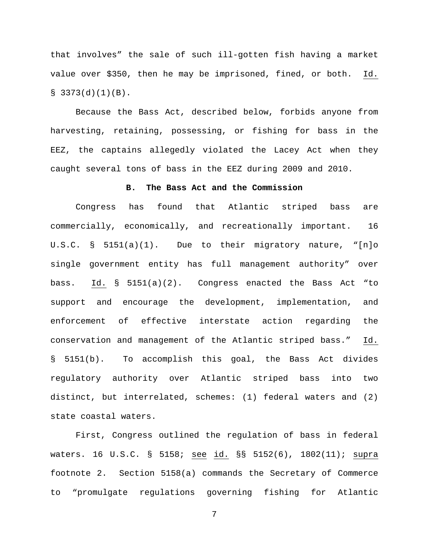that involves" the sale of such ill-gotten fish having a market value over \$350, then he may be imprisoned, fined, or both. Id.  $$3373(d)(1)(B).$ 

Because the Bass Act, described below, forbids anyone from harvesting, retaining, possessing, or fishing for bass in the EEZ, the captains allegedly violated the Lacey Act when they caught several tons of bass in the EEZ during 2009 and 2010.

#### **B. The Bass Act and the Commission**

Congress has found that Atlantic striped bass are commercially, economically, and recreationally important. 16 U.S.C. § 5151(a)(1). Due to their migratory nature, "[n]o single government entity has full management authority" over bass. Id. § 5151(a)(2). Congress enacted the Bass Act "to support and encourage the development, implementation, and enforcement of effective interstate action regarding the conservation and management of the Atlantic striped bass." Id. § 5151(b). To accomplish this goal, the Bass Act divides regulatory authority over Atlantic striped bass into two distinct, but interrelated, schemes: (1) federal waters and (2) state coastal waters.

First, Congress outlined the regulation of bass in federal waters. 16 U.S.C. § 5158; see id. §§ 5152(6), 1802(11); supra footnote 2. Section 5158(a) commands the Secretary of Commerce to "promulgate regulations governing fishing for Atlantic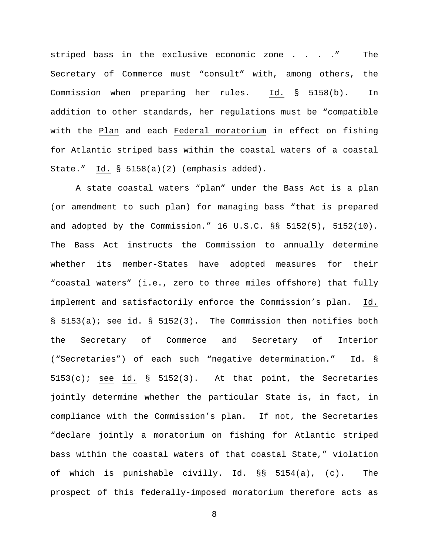striped bass in the exclusive economic zone . . . . " The Secretary of Commerce must "consult" with, among others, the Commission when preparing her rules. Id. § 5158(b). In addition to other standards, her regulations must be "compatible with the Plan and each Federal moratorium in effect on fishing for Atlantic striped bass within the coastal waters of a coastal State." Id. § 5158(a)(2) (emphasis added).

A state coastal waters "plan" under the Bass Act is a plan (or amendment to such plan) for managing bass "that is prepared and adopted by the Commission." 16 U.S.C. §§ 5152(5), 5152(10). The Bass Act instructs the Commission to annually determine whether its member-States have adopted measures for their "coastal waters" (i.e., zero to three miles offshore) that fully implement and satisfactorily enforce the Commission's plan. Id. § 5153(a); see id. § 5152(3). The Commission then notifies both the Secretary of Commerce and Secretary of Interior ("Secretaries") of each such "negative determination." Id. §  $5153(c)$ ; see id. §  $5152(3)$ . At that point, the Secretaries jointly determine whether the particular State is, in fact, in compliance with the Commission's plan. If not, the Secretaries "declare jointly a moratorium on fishing for Atlantic striped bass within the coastal waters of that coastal State," violation of which is punishable civilly. Id. §§ 5154(a), (c). The prospect of this federally-imposed moratorium therefore acts as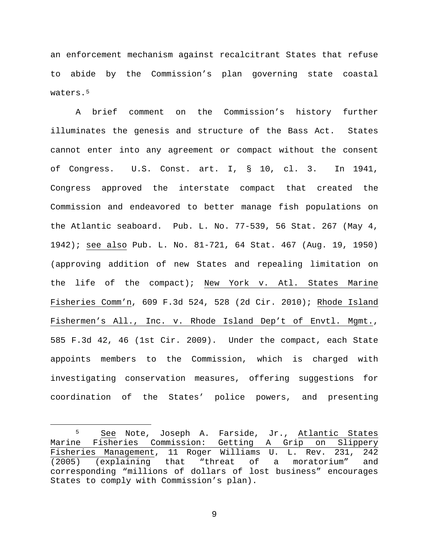an enforcement mechanism against recalcitrant States that refuse to abide by the Commission's plan governing state coastal waters.<sup>5</sup>

A brief comment on the Commission's history further illuminates the genesis and structure of the Bass Act. States cannot enter into any agreement or compact without the consent of Congress. U.S. Const. art. I, § 10, cl. 3. In 1941, Congress approved the interstate compact that created the Commission and endeavored to better manage fish populations on the Atlantic seaboard. Pub. L. No. 77-539, 56 Stat. 267 (May 4, 1942); see also Pub. L. No. 81-721, 64 Stat. 467 (Aug. 19, 1950) (approving addition of new States and repealing limitation on the life of the compact); New York v. Atl. States Marine Fisheries Comm'n, 609 F.3d 524, 528 (2d Cir. 2010); Rhode Island Fishermen's All., Inc. v. Rhode Island Dep't of Envtl. Mgmt., 585 F.3d 42, 46 (1st Cir. 2009). Under the compact, each State appoints members to the Commission, which is charged with investigating conservation measures, offering suggestions for coordination of the States' police powers, and presenting

<span id="page-8-0"></span> <sup>5</sup> See Note, Joseph A. Farside, Jr., Atlantic States Marine Fisheries Commission: Getting A Grip on Slippery Fisheries Management, 11 Roger Williams U. L. Rev. 231, 242<br>(2005) (explaining that "threat of a moratorium" and (2005) (explaining that "threat of a moratorium" and corresponding "millions of dollars of lost business" encourages States to comply with Commission's plan).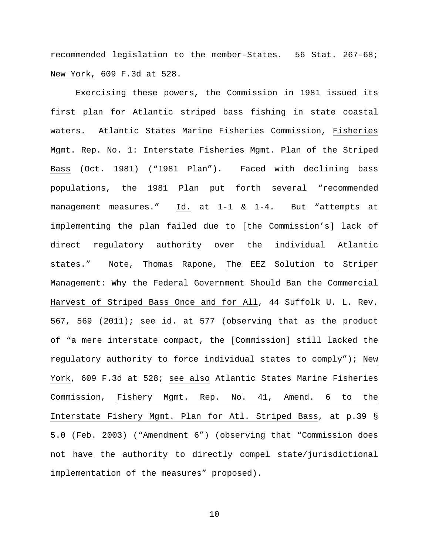recommended legislation to the member-States. 56 Stat. 267-68; New York, 609 F.3d at 528.

Exercising these powers, the Commission in 1981 issued its first plan for Atlantic striped bass fishing in state coastal waters. Atlantic States Marine Fisheries Commission, Fisheries Mgmt. Rep. No. 1: Interstate Fisheries Mgmt. Plan of the Striped Bass (Oct. 1981) ("1981 Plan"). Faced with declining bass populations, the 1981 Plan put forth several "recommended management measures." Id. at 1-1 & 1-4. But "attempts at implementing the plan failed due to [the Commission's] lack of direct regulatory authority over the individual Atlantic states." Note, Thomas Rapone, The EEZ Solution to Striper Management: Why the Federal Government Should Ban the Commercial Harvest of Striped Bass Once and for All, 44 Suffolk U. L. Rev. 567, 569 (2011); see id. at 577 (observing that as the product of "a mere interstate compact, the [Commission] still lacked the regulatory authority to force individual states to comply"); New York, 609 F.3d at 528; see also Atlantic States Marine Fisheries Commission, Fishery Mgmt. Rep. No. 41, Amend. 6 to the Interstate Fishery Mgmt. Plan for Atl. Striped Bass, at p.39 § 5.0 (Feb. 2003) ("Amendment 6") (observing that "Commission does not have the authority to directly compel state/jurisdictional implementation of the measures" proposed).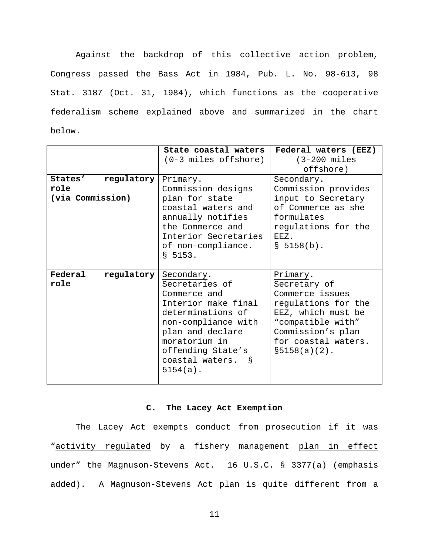Against the backdrop of this collective action problem, Congress passed the Bass Act in 1984, Pub. L. No. 98-613, 98 Stat. 3187 (Oct. 31, 1984), which functions as the cooperative federalism scheme explained above and summarized in the chart below.

|                       | State coastal waters   | Federal waters (EEZ)    |
|-----------------------|------------------------|-------------------------|
|                       |                        |                         |
|                       | $(0-3$ miles offshore) | $(3-200 \text{ miles})$ |
|                       |                        | offshore)               |
| regulatory<br>States' | Primary.               | Secondary.              |
| role                  | Commission designs     | Commission provides     |
| (via Commission)      | plan for state         | input to Secretary      |
|                       | coastal waters and     | of Commerce as she      |
|                       | annually notifies      | formulates              |
|                       | the Commerce and       | regulations for the     |
|                       | Interior Secretaries   | 耳耳牙,                    |
|                       | of non-compliance.     | \$5158(b).              |
|                       | \$5153.                |                         |
|                       |                        |                         |
| Federal<br>regulatory | Secondary.             | Primary.                |
| role                  | Secretaries of         | Secretary of            |
|                       | Commerce and           | Commerce issues         |
|                       | Interior make final    | regulations for the     |
|                       | determinations of      | EEZ, which must be      |
|                       |                        |                         |
|                       | non-compliance with    | "compatible with"       |
|                       | plan and declare       | Commission's plan       |
|                       | moratorium in          | for coastal waters.     |
|                       | offending State's      | $$5158(a)(2)$ .         |
|                       |                        |                         |
|                       | coastal waters.<br>୍ଷ  |                         |
|                       | $5154(a)$ .            |                         |

# **C. The Lacey Act Exemption**

The Lacey Act exempts conduct from prosecution if it was "activity regulated by a fishery management plan in effect under" the Magnuson-Stevens Act. 16 U.S.C. § 3377(a) (emphasis added). A Magnuson-Stevens Act plan is quite different from a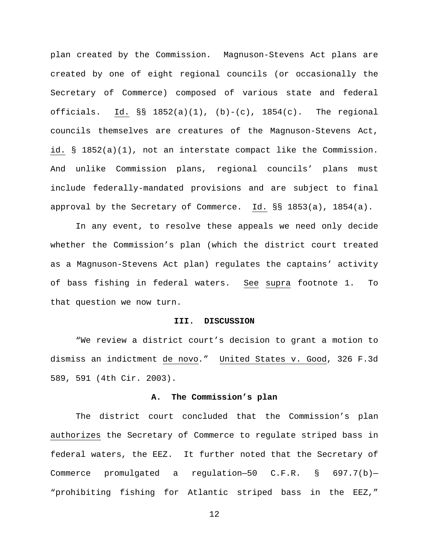plan created by the Commission. Magnuson-Stevens Act plans are created by one of eight regional councils (or occasionally the Secretary of Commerce) composed of various state and federal officials. Id.  $\S$ § 1852(a)(1), (b)-(c), 1854(c). The regional councils themselves are creatures of the Magnuson-Stevens Act, id. § 1852(a)(1), not an interstate compact like the Commission. And unlike Commission plans, regional councils' plans must include federally-mandated provisions and are subject to final approval by the Secretary of Commerce. Id. §§ 1853(a), 1854(a).

In any event, to resolve these appeals we need only decide whether the Commission's plan (which the district court treated as a Magnuson-Stevens Act plan) regulates the captains' activity of bass fishing in federal waters. See supra footnote 1. To that question we now turn.

# **III. DISCUSSION**

"We review a district court's decision to grant a motion to dismiss an indictment de novo*.*" United States v. Good, 326 F.3d 589, 591 (4th Cir. 2003).

#### **A. The Commission's plan**

The district court concluded that the Commission's plan authorizes the Secretary of Commerce to regulate striped bass in federal waters, the EEZ. It further noted that the Secretary of Commerce promulgated a regulation—50 C.F.R. § 697.7(b)— "prohibiting fishing for Atlantic striped bass in the EEZ,"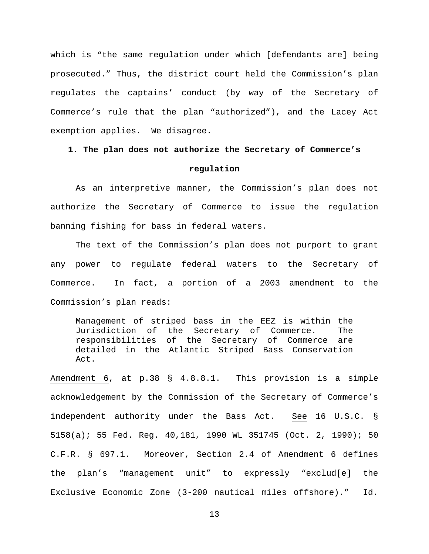which is "the same regulation under which [defendants are] being prosecuted." Thus, the district court held the Commission's plan regulates the captains' conduct (by way of the Secretary of Commerce's rule that the plan "authorized"), and the Lacey Act exemption applies. We disagree.

# **1. The plan does not authorize the Secretary of Commerce's**

# **regulation**

As an interpretive manner, the Commission's plan does not authorize the Secretary of Commerce to issue the regulation banning fishing for bass in federal waters.

The text of the Commission's plan does not purport to grant any power to regulate federal waters to the Secretary of Commerce. In fact, a portion of a 2003 amendment to the Commission's plan reads:

Management of striped bass in the EEZ is within the Jurisdiction of the Secretary of Commerce. The responsibilities of the Secretary of Commerce are detailed in the Atlantic Striped Bass Conservation Act.

Amendment 6, at p.38 § 4.8.8.1. This provision is a simple acknowledgement by the Commission of the Secretary of Commerce's independent authority under the Bass Act. See 16 U.S.C. § 5158(a); 55 Fed. Reg. 40,181, 1990 WL 351745 (Oct. 2, 1990); 50 C.F.R. § 697.1. Moreover, Section 2.4 of Amendment 6 defines the plan's "management unit" to expressly "exclud[e] the Exclusive Economic Zone (3-200 nautical miles offshore)." Id.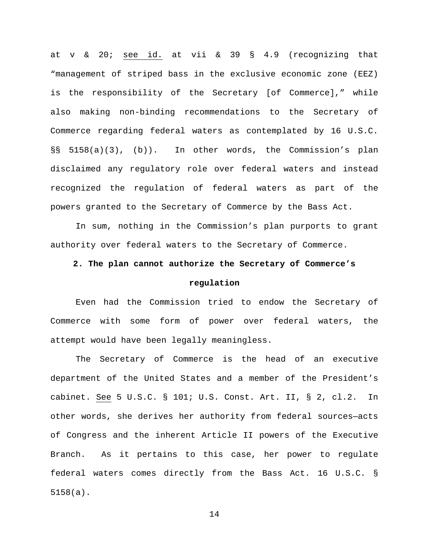at v & 20; see id. at vii & 39 § 4.9 (recognizing that "management of striped bass in the exclusive economic zone (EEZ) is the responsibility of the Secretary [of Commerce]," while also making non-binding recommendations to the Secretary of Commerce regarding federal waters as contemplated by 16 U.S.C. §§ 5158(a)(3), (b)). In other words, the Commission's plan disclaimed any regulatory role over federal waters and instead recognized the regulation of federal waters as part of the powers granted to the Secretary of Commerce by the Bass Act.

In sum, nothing in the Commission's plan purports to grant authority over federal waters to the Secretary of Commerce.

# **2. The plan cannot authorize the Secretary of Commerce's**

# **regulation**

Even had the Commission tried to endow the Secretary of Commerce with some form of power over federal waters, the attempt would have been legally meaningless.

The Secretary of Commerce is the head of an executive department of the United States and a member of the President's cabinet. See 5 U.S.C. § 101; U.S. Const. Art. II, § 2, cl.2. In other words, she derives her authority from federal sources—acts of Congress and the inherent Article II powers of the Executive Branch. As it pertains to this case, her power to regulate federal waters comes directly from the Bass Act. 16 U.S.C. § 5158(a).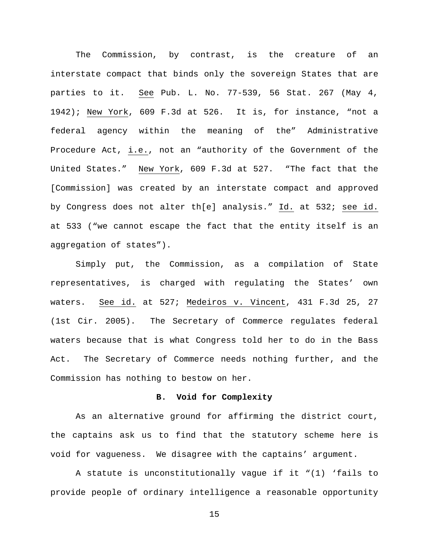The Commission, by contrast, is the creature of an interstate compact that binds only the sovereign States that are parties to it. See Pub. L. No. 77-539, 56 Stat. 267 (May 4, 1942); New York, 609 F.3d at 526. It is, for instance, "not a federal agency within the meaning of the" Administrative Procedure Act, i.e., not an "authority of the Government of the United States." New York, 609 F.3d at 527. "The fact that the [Commission] was created by an interstate compact and approved by Congress does not alter th[e] analysis." Id. at 532; see id. at 533 ("we cannot escape the fact that the entity itself is an aggregation of states").

Simply put, the Commission, as a compilation of State representatives, is charged with regulating the States' own waters. See id. at 527; Medeiros v. Vincent, 431 F.3d 25, 27 (1st Cir. 2005). The Secretary of Commerce regulates federal waters because that is what Congress told her to do in the Bass Act. The Secretary of Commerce needs nothing further, and the Commission has nothing to bestow on her.

### **B. Void for Complexity**

As an alternative ground for affirming the district court, the captains ask us to find that the statutory scheme here is void for vagueness. We disagree with the captains' argument.

A statute is unconstitutionally vague if it "(1) 'fails to provide people of ordinary intelligence a reasonable opportunity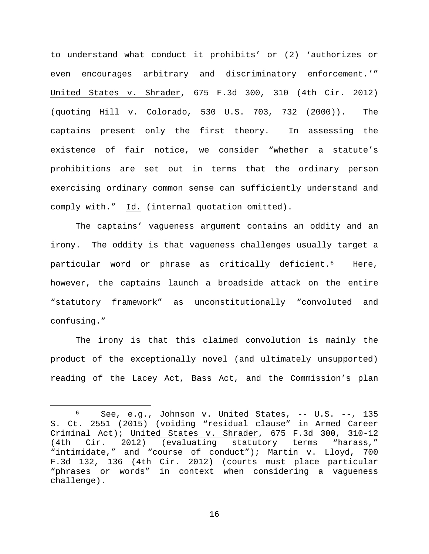to understand what conduct it prohibits' or (2) 'authorizes or even encourages arbitrary and discriminatory enforcement.'" United States v. Shrader, 675 F.3d 300, 310 (4th Cir. 2012) (quoting Hill v. Colorado, 530 U.S. 703, 732 (2000)). The captains present only the first theory. In assessing the existence of fair notice, we consider "whether a statute's prohibitions are set out in terms that the ordinary person exercising ordinary common sense can sufficiently understand and comply with." Id. (internal quotation omitted).

The captains' vagueness argument contains an oddity and an irony. The oddity is that vagueness challenges usually target a particular word or phrase as critically deficient.[6](#page-15-0) Here, however, the captains launch a broadside attack on the entire "statutory framework" as unconstitutionally "convoluted and confusing."

The irony is that this claimed convolution is mainly the product of the exceptionally novel (and ultimately unsupported) reading of the Lacey Act, Bass Act, and the Commission's plan

<span id="page-15-0"></span> $6$  See, e.g., Johnson v. United States,  $--$  U.S.  $--$ , 135 S. Ct. 2551 (2015) (voiding "residual clause" in Armed Career Criminal Act); United States v. Shrader, 675 F.3d 300, 310-12<br>(4th Cir. 2012) (evaluating statutory terms "harass," Cir. 2012) (evaluating statutory terms "harass," "intimidate," and "course of conduct"); Martin v. Lloyd, 700 F.3d 132, 136 (4th Cir. 2012) (courts must place particular "phrases or words" in context when considering a vagueness challenge).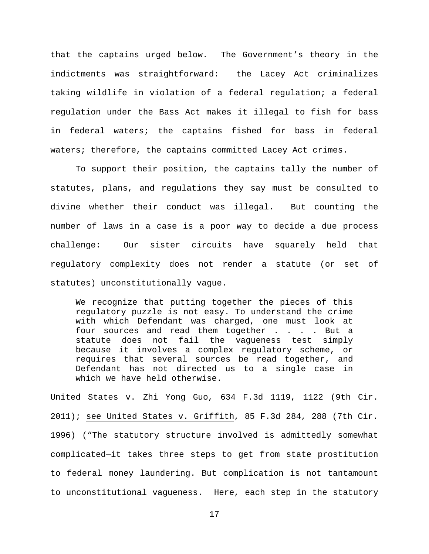that the captains urged below. The Government's theory in the indictments was straightforward: the Lacey Act criminalizes taking wildlife in violation of a federal regulation; a federal regulation under the Bass Act makes it illegal to fish for bass in federal waters; the captains fished for bass in federal waters; therefore, the captains committed Lacey Act crimes.

To support their position, the captains tally the number of statutes, plans, and regulations they say must be consulted to divine whether their conduct was illegal. But counting the number of laws in a case is a poor way to decide a due process challenge: Our sister circuits have squarely held that regulatory complexity does not render a statute (or set of statutes) unconstitutionally vague.

We recognize that putting together the pieces of this regulatory puzzle is not easy. To understand the crime with which Defendant was charged, one must look at four sources and read them together . . . . But a statute does not fail the vagueness test simply because it involves a complex regulatory scheme, or requires that several sources be read together, and Defendant has not directed us to a single case in which we have held otherwise.

United States v. Zhi Yong Guo, 634 F.3d 1119, 1122 (9th Cir. 2011); see United States v. Griffith, 85 F.3d 284, 288 (7th Cir. 1996) ("The statutory structure involved is admittedly somewhat complicated—it takes three steps to get from state prostitution to federal money laundering. But complication is not tantamount to unconstitutional vagueness. Here, each step in the statutory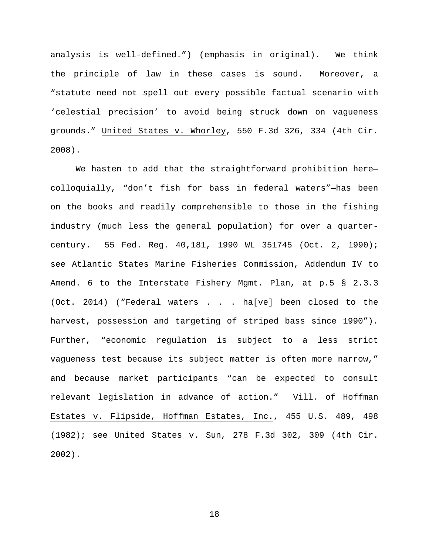analysis is well-defined.") (emphasis in original). We think the principle of law in these cases is sound. Moreover, a "statute need not spell out every possible factual scenario with 'celestial precision' to avoid being struck down on vagueness grounds." United States v. Whorley, 550 F.3d 326, 334 (4th Cir. 2008).

We hasten to add that the straightforward prohibition herecolloquially, "don't fish for bass in federal waters"—has been on the books and readily comprehensible to those in the fishing industry (much less the general population) for over a quartercentury. 55 Fed. Reg. 40,181, 1990 WL 351745 (Oct. 2, 1990); see Atlantic States Marine Fisheries Commission, Addendum IV to Amend. 6 to the Interstate Fishery Mgmt. Plan, at p.5 § 2.3.3 (Oct. 2014) ("Federal waters . . . ha[ve] been closed to the harvest, possession and targeting of striped bass since 1990"). Further, "economic regulation is subject to a less strict vagueness test because its subject matter is often more narrow," and because market participants "can be expected to consult relevant legislation in advance of action." Vill. of Hoffman Estates v. Flipside, Hoffman Estates, Inc., 455 U.S. 489, 498 (1982); see United States v. Sun, 278 F.3d 302, 309 (4th Cir. 2002).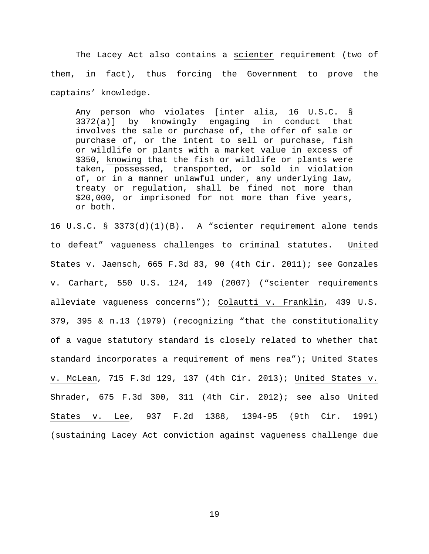The Lacey Act also contains a scienter requirement (two of them, in fact), thus forcing the Government to prove the captains' knowledge.

Any person who violates [inter alia, 16 U.S.C. § 3372(a)] by knowingly engaging in conduct that involves the sale or purchase of, the offer of sale or purchase of, or the intent to sell or purchase, fish or wildlife or plants with a market value in excess of \$350, knowing that the fish or wildlife or plants were taken, possessed, transported, or sold in violation of, or in a manner unlawful under, any underlying law, treaty or regulation, shall be fined not more than \$20,000, or imprisoned for not more than five years, or both.

16 U.S.C. § 3373(d)(1)(B). A "scienter requirement alone tends to defeat" vagueness challenges to criminal statutes. United States v. Jaensch, 665 F.3d 83, 90 (4th Cir. 2011); see Gonzales v. Carhart, 550 U.S. 124, 149 (2007) ("scienter requirements alleviate vagueness concerns"); Colautti v. Franklin, 439 U.S. 379, 395 & n.13 (1979) (recognizing "that the constitutionality of a vague statutory standard is closely related to whether that standard incorporates a requirement of mens rea"); United States v. McLean, 715 F.3d 129, 137 (4th Cir. 2013); United States v. Shrader, 675 F.3d 300, 311 (4th Cir. 2012); see also United States v. Lee, 937 F.2d 1388, 1394-95 (9th Cir. 1991) (sustaining Lacey Act conviction against vagueness challenge due